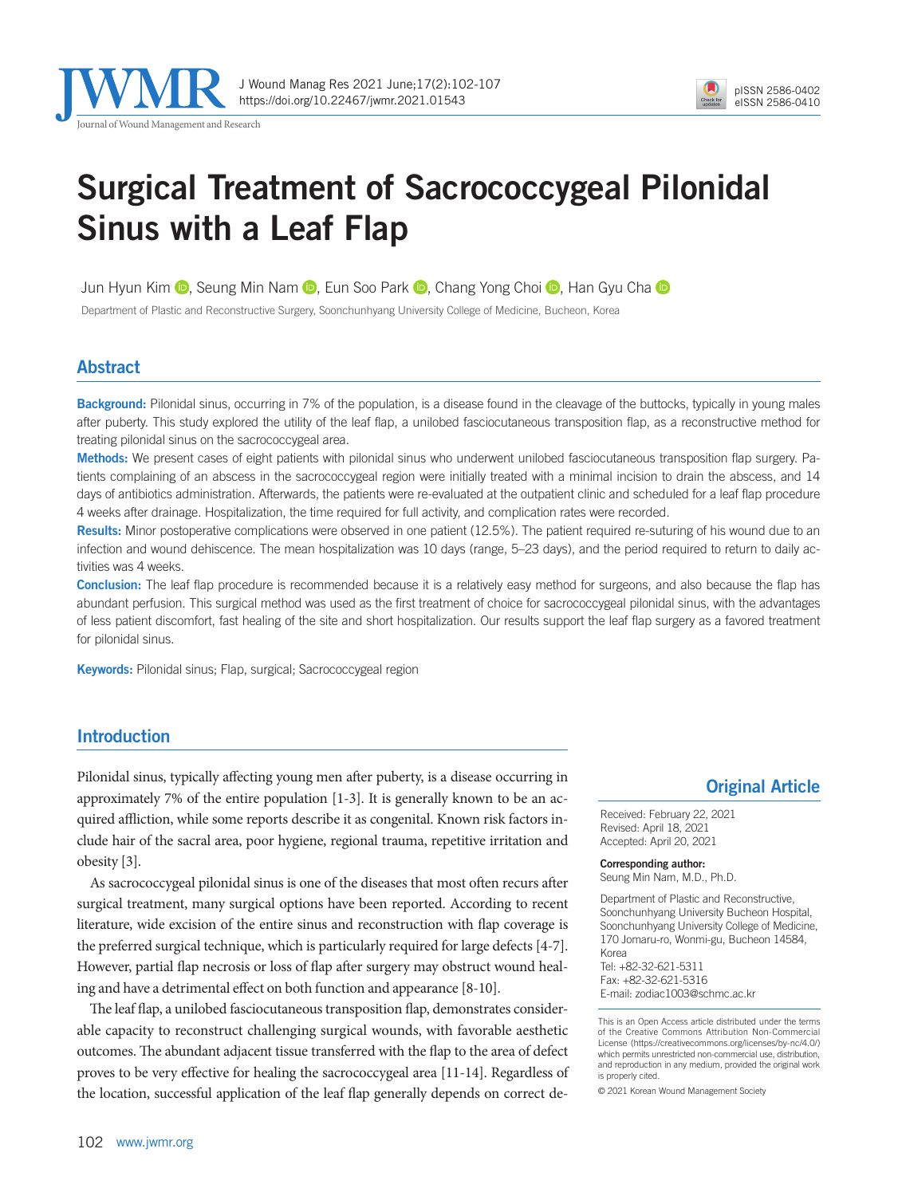

# Surgical Treatment of Sacrococcygeal Pilonidal Sinus with a Leaf Flap

JunHyun Kim  $\odot$ , Seung Min Nam  $\odot$ , Eun Soo Park  $\odot$ , Chang Yong Choi  $\odot$ , Han Gyu Cha  $\odot$ 

Department of Plastic and Reconstructive Surgery, Soonchunhyang University College of Medicine, Bucheon, Korea

## Abstract

Background: Pilonidal sinus, occurring in 7% of the population, is a disease found in the cleavage of the buttocks, typically in young males after puberty. This study explored the utility of the leaf flap, a unilobed fasciocutaneous transposition flap, as a reconstructive method for treating pilonidal sinus on the sacrococcygeal area.

Methods: We present cases of eight patients with pilonidal sinus who underwent unilobed fasciocutaneous transposition flap surgery. Patients complaining of an abscess in the sacrococcygeal region were initially treated with a minimal incision to drain the abscess, and 14 days of antibiotics administration. Afterwards, the patients were re-evaluated at the outpatient clinic and scheduled for a leaf flap procedure 4 weeks after drainage. Hospitalization, the time required for full activity, and complication rates were recorded.

Results: Minor postoperative complications were observed in one patient (12.5%). The patient required re-suturing of his wound due to an infection and wound dehiscence. The mean hospitalization was 10 days (range, 5–23 days), and the period required to return to daily activities was 4 weeks.

Conclusion: The leaf flap procedure is recommended because it is a relatively easy method for surgeons, and also because the flap has abundant perfusion. This surgical method was used as the first treatment of choice for sacrococcygeal pilonidal sinus, with the advantages of less patient discomfort, fast healing of the site and short hospitalization. Our results support the leaf flap surgery as a favored treatment for pilonidal sinus.

Keywords: Pilonidal sinus; Flap, surgical; Sacrococcygeal region

### Introduction

Pilonidal sinus, typically affecting young men after puberty, is a disease occurring in approximately 7% of the entire population [1-3]. It is generally known to be an acquired affliction, while some reports describe it as congenital. Known risk factors include hair of the sacral area, poor hygiene, regional trauma, repetitive irritation and obesity [3].

As sacrococcygeal pilonidal sinus is one of the diseases that most often recurs after surgical treatment, many surgical options have been reported. According to recent literature, wide excision of the entire sinus and reconstruction with flap coverage is the preferred surgical technique, which is particularly required for large defects [4-7]. However, partial flap necrosis or loss of flap after surgery may obstruct wound healing and have a detrimental effect on both function and appearance [8-10].

The leaf flap, a unilobed fasciocutaneous transposition flap, demonstrates considerable capacity to reconstruct challenging surgical wounds, with favorable aesthetic outcomes. The abundant adjacent tissue transferred with the flap to the area of defect proves to be very effective for healing the sacrococcygeal area [11-14]. Regardless of the location, successful application of the leaf flap generally depends on correct de-

### Original Article

Received: February 22, 2021 Revised: April 18, 2021 Accepted: April 20, 2021

Corresponding author:

Seung Min Nam, M.D., Ph.D.

Department of Plastic and Reconstructive, Soonchunhyang University Bucheon Hospital, Soonchunhyang University College of Medicine, 170 Jomaru-ro, Wonmi-gu, Bucheon 14584, Korea Tel: +82-32-621-5311 Fax: +82-32-621-5316 E-mail: zodiac1003@schmc.ac.kr

This is an Open Access article distributed under the terms of the Creative Commons Attribution Non-Commercial License (https://creativecommons.org/licenses/by-nc/4.0/) which permits unrestricted non-commercial use, distribution, and reproduction in any medium, provided the original work is properly cited.

© 2021 Korean Wound Management Society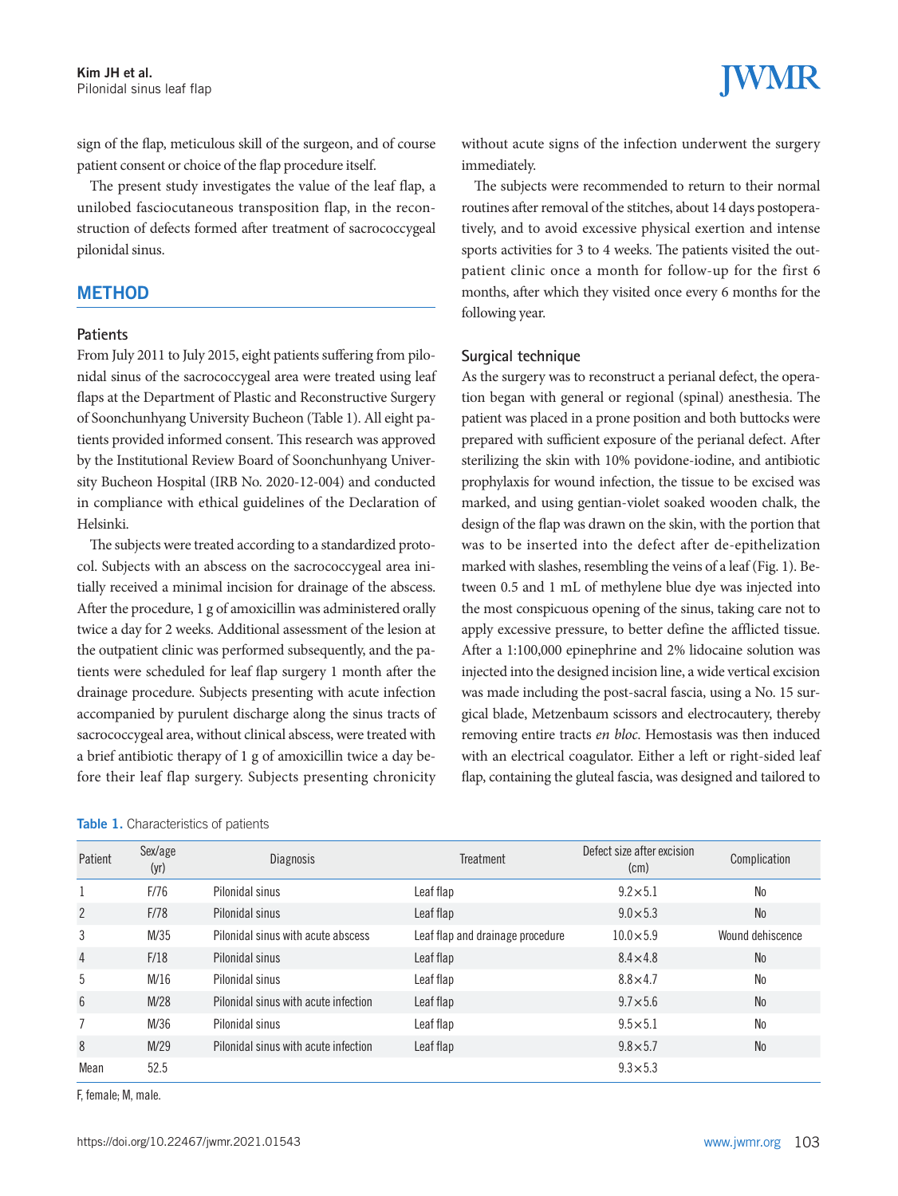sign of the flap, meticulous skill of the surgeon, and of course patient consent or choice of the flap procedure itself.

The present study investigates the value of the leaf flap, a unilobed fasciocutaneous transposition flap, in the reconstruction of defects formed after treatment of sacrococcygeal pilonidal sinus.

### **METHOD**

#### **Patients**

From July 2011 to July 2015, eight patients suffering from pilonidal sinus of the sacrococcygeal area were treated using leaf flaps at the Department of Plastic and Reconstructive Surgery of Soonchunhyang University Bucheon (Table 1). All eight patients provided informed consent. This research was approved by the Institutional Review Board of Soonchunhyang University Bucheon Hospital (IRB No. 2020-12-004) and conducted in compliance with ethical guidelines of the Declaration of Helsinki.

The subjects were treated according to a standardized protocol. Subjects with an abscess on the sacrococcygeal area initially received a minimal incision for drainage of the abscess. After the procedure, 1 g of amoxicillin was administered orally twice a day for 2 weeks. Additional assessment of the lesion at the outpatient clinic was performed subsequently, and the patients were scheduled for leaf flap surgery 1 month after the drainage procedure. Subjects presenting with acute infection accompanied by purulent discharge along the sinus tracts of sacrococcygeal area, without clinical abscess, were treated with a brief antibiotic therapy of 1 g of amoxicillin twice a day before their leaf flap surgery. Subjects presenting chronicity

#### Table 1. Characteristics of patients

without acute signs of the infection underwent the surgery immediately.

The subjects were recommended to return to their normal routines after removal of the stitches, about 14 days postoperatively, and to avoid excessive physical exertion and intense sports activities for 3 to 4 weeks. The patients visited the outpatient clinic once a month for follow-up for the first 6 months, after which they visited once every 6 months for the following year.

### **Surgical technique**

As the surgery was to reconstruct a perianal defect, the operation began with general or regional (spinal) anesthesia. The patient was placed in a prone position and both buttocks were prepared with sufficient exposure of the perianal defect. After sterilizing the skin with 10% povidone-iodine, and antibiotic prophylaxis for wound infection, the tissue to be excised was marked, and using gentian-violet soaked wooden chalk, the design of the flap was drawn on the skin, with the portion that was to be inserted into the defect after de-epithelization marked with slashes, resembling the veins of a leaf (Fig. 1). Between 0.5 and 1 mL of methylene blue dye was injected into the most conspicuous opening of the sinus, taking care not to apply excessive pressure, to better define the afflicted tissue. After a 1:100,000 epinephrine and 2% lidocaine solution was injected into the designed incision line, a wide vertical excision was made including the post-sacral fascia, using a No. 15 surgical blade, Metzenbaum scissors and electrocautery, thereby removing entire tracts *en bloc*. Hemostasis was then induced with an electrical coagulator. Either a left or right-sided leaf flap, containing the gluteal fascia, was designed and tailored to

| Patient        | Sex/age<br>(yr) | <b>Diagnosis</b>                     | Treatment                        | Defect size after excision<br>(cm) | Complication     |
|----------------|-----------------|--------------------------------------|----------------------------------|------------------------------------|------------------|
|                | F/76            | Pilonidal sinus                      | Leaf flap                        | $9.2 \times 5.1$                   | <b>No</b>        |
| $\overline{2}$ | F/78            | Pilonidal sinus                      | Leaf flap                        | $9.0 \times 5.3$                   | <b>No</b>        |
| 3              | M/35            | Pilonidal sinus with acute abscess   | Leaf flap and drainage procedure | $10.0 \times 5.9$                  | Wound dehiscence |
| 4              | F/18            | Pilonidal sinus                      | Leaf flap                        | $8.4 \times 4.8$                   | <b>No</b>        |
| 5              | M/16            | Pilonidal sinus                      | Leaf flap                        | $8.8 \times 4.7$                   | <b>No</b>        |
| 6              | M/28            | Pilonidal sinus with acute infection | Leaf flap                        | $9.7 \times 5.6$                   | <b>No</b>        |
| $\overline{7}$ | M/36            | Pilonidal sinus                      | Leaf flap                        | $9.5 \times 5.1$                   | N <sub>0</sub>   |
| 8              | M/29            | Pilonidal sinus with acute infection | Leaf flap                        | $9.8 \times 5.7$                   | <b>No</b>        |
| Mean           | 52.5            |                                      |                                  | $9.3 \times 5.3$                   |                  |

F, female; M, male.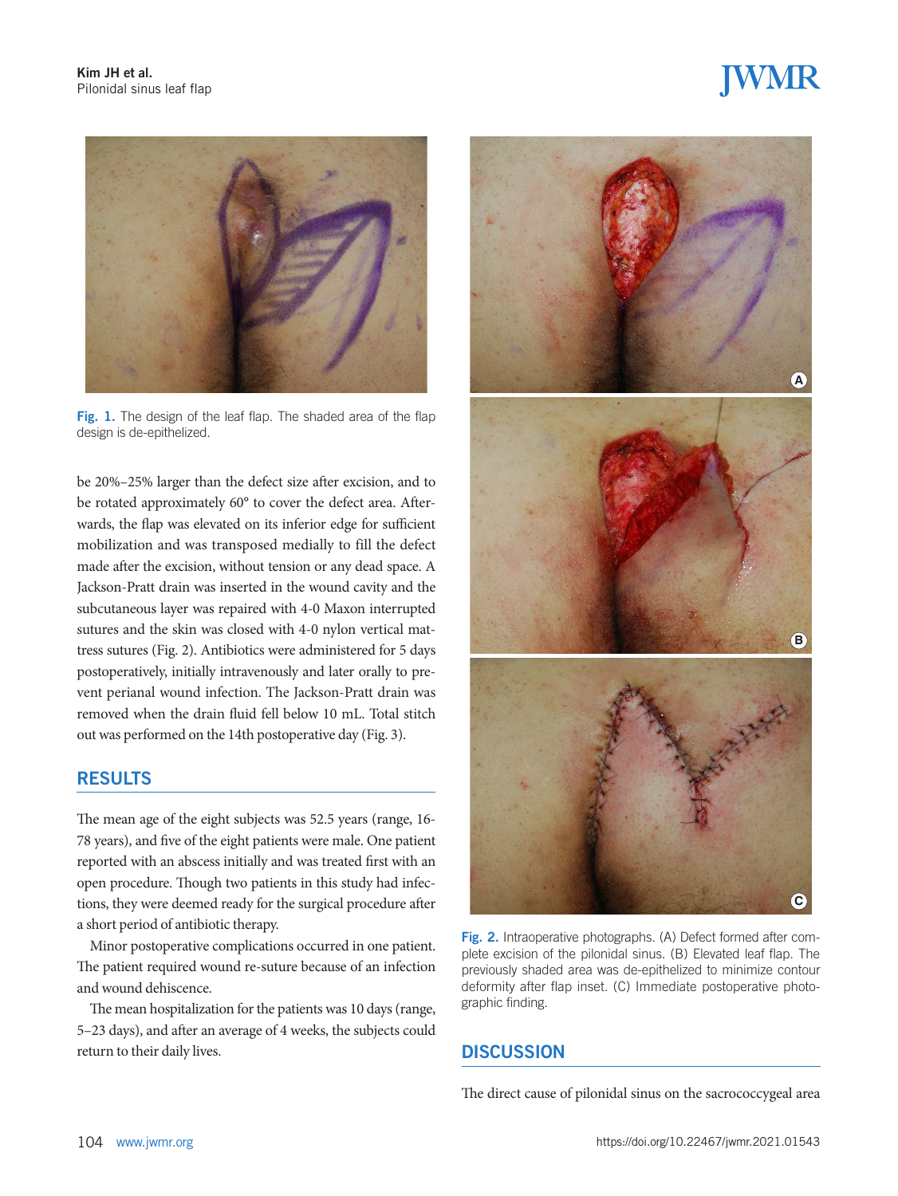# **JWMR**



Fig. 1. The design of the leaf flap. The shaded area of the flap design is de-epithelized.

be 20%–25% larger than the defect size after excision, and to be rotated approximately 60° to cover the defect area. Afterwards, the flap was elevated on its inferior edge for sufficient mobilization and was transposed medially to fill the defect made after the excision, without tension or any dead space. A Jackson-Pratt drain was inserted in the wound cavity and the subcutaneous layer was repaired with 4-0 Maxon interrupted sutures and the skin was closed with 4-0 nylon vertical mattress sutures (Fig. 2). Antibiotics were administered for 5 days postoperatively, initially intravenously and later orally to prevent perianal wound infection. The Jackson-Pratt drain was removed when the drain fluid fell below 10 mL. Total stitch out was performed on the 14th postoperative day (Fig. 3).

### RESULTS

The mean age of the eight subjects was 52.5 years (range, 16- 78 years), and five of the eight patients were male. One patient reported with an abscess initially and was treated first with an open procedure. Though two patients in this study had infections, they were deemed ready for the surgical procedure after a short period of antibiotic therapy.

Minor postoperative complications occurred in one patient. The patient required wound re-suture because of an infection and wound dehiscence.

The mean hospitalization for the patients was 10 days (range, 5–23 days), and after an average of 4 weeks, the subjects could return to their daily lives. DISCUSSION



Fig. 2. Intraoperative photographs. (A) Defect formed after complete excision of the pilonidal sinus. (B) Elevated leaf flap. The previously shaded area was de-epithelized to minimize contour deformity after flap inset. (C) Immediate postoperative photographic finding.

The direct cause of pilonidal sinus on the sacrococcygeal area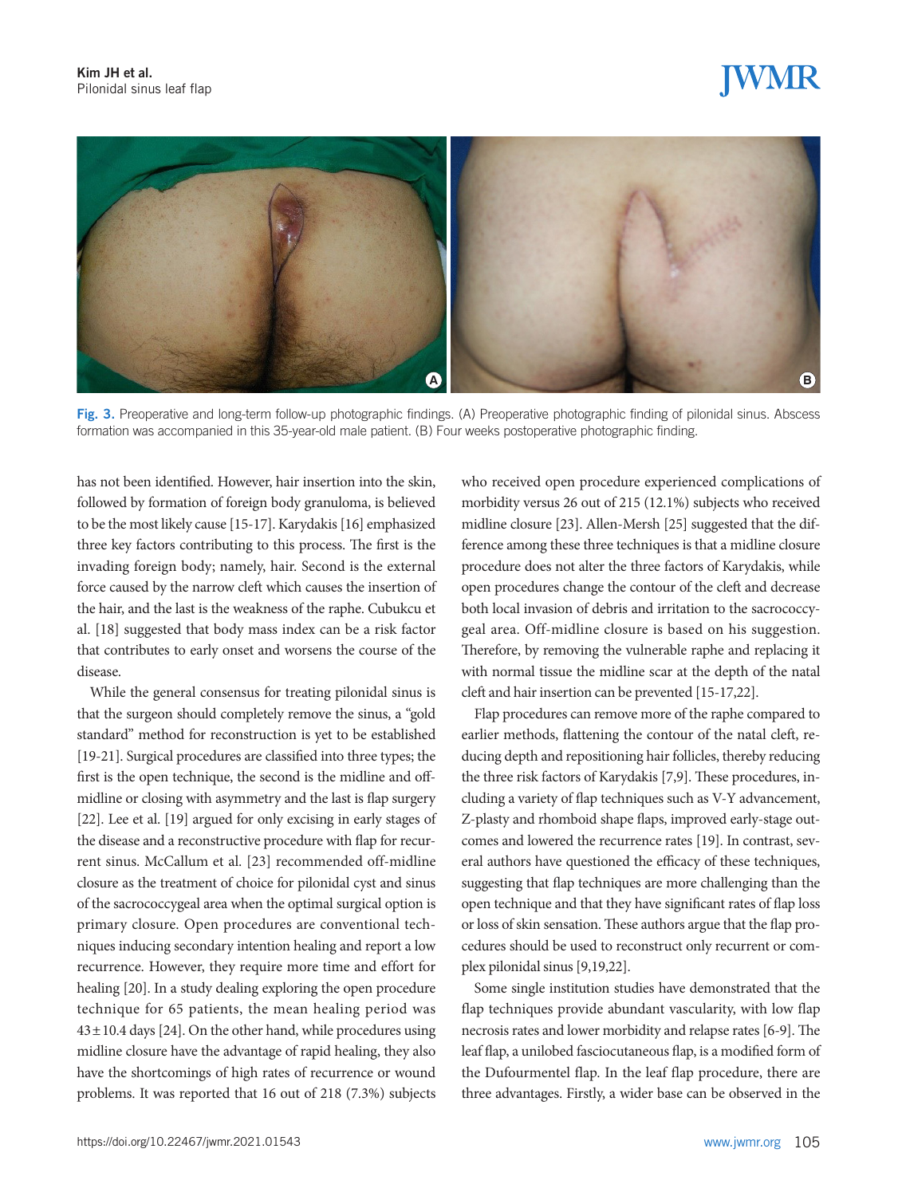# IWMR



Fig. 3. Preoperative and long-term follow-up photographic findings. (A) Preoperative photographic finding of pilonidal sinus. Abscess formation was accompanied in this 35-year-old male patient. (B) Four weeks postoperative photographic finding.

has not been identified. However, hair insertion into the skin, followed by formation of foreign body granuloma, is believed to be the most likely cause [15-17]. Karydakis [16] emphasized three key factors contributing to this process. The first is the invading foreign body; namely, hair. Second is the external force caused by the narrow cleft which causes the insertion of the hair, and the last is the weakness of the raphe. Cubukcu et al. [18] suggested that body mass index can be a risk factor that contributes to early onset and worsens the course of the disease.

While the general consensus for treating pilonidal sinus is that the surgeon should completely remove the sinus, a "gold standard" method for reconstruction is yet to be established [19-21]. Surgical procedures are classified into three types; the first is the open technique, the second is the midline and offmidline or closing with asymmetry and the last is flap surgery [22]. Lee et al. [19] argued for only excising in early stages of the disease and a reconstructive procedure with flap for recurrent sinus. McCallum et al. [23] recommended off-midline closure as the treatment of choice for pilonidal cyst and sinus of the sacrococcygeal area when the optimal surgical option is primary closure. Open procedures are conventional techniques inducing secondary intention healing and report a low recurrence. However, they require more time and effort for healing [20]. In a study dealing exploring the open procedure technique for 65 patients, the mean healing period was  $43 \pm 10.4$  days [24]. On the other hand, while procedures using midline closure have the advantage of rapid healing, they also have the shortcomings of high rates of recurrence or wound problems. It was reported that 16 out of 218 (7.3%) subjects

who received open procedure experienced complications of morbidity versus 26 out of 215 (12.1%) subjects who received midline closure [23]. Allen-Mersh [25] suggested that the difference among these three techniques is that a midline closure procedure does not alter the three factors of Karydakis, while open procedures change the contour of the cleft and decrease both local invasion of debris and irritation to the sacrococcygeal area. Off-midline closure is based on his suggestion. Therefore, by removing the vulnerable raphe and replacing it with normal tissue the midline scar at the depth of the natal cleft and hair insertion can be prevented [15-17,22].

Flap procedures can remove more of the raphe compared to earlier methods, flattening the contour of the natal cleft, reducing depth and repositioning hair follicles, thereby reducing the three risk factors of Karydakis [7,9]. These procedures, including a variety of flap techniques such as V-Y advancement, Z-plasty and rhomboid shape flaps, improved early-stage outcomes and lowered the recurrence rates [19]. In contrast, several authors have questioned the efficacy of these techniques, suggesting that flap techniques are more challenging than the open technique and that they have significant rates of flap loss or loss of skin sensation. These authors argue that the flap procedures should be used to reconstruct only recurrent or complex pilonidal sinus [9,19,22].

Some single institution studies have demonstrated that the flap techniques provide abundant vascularity, with low flap necrosis rates and lower morbidity and relapse rates [6-9]. The leaf flap, a unilobed fasciocutaneous flap, is a modified form of the Dufourmentel flap. In the leaf flap procedure, there are three advantages. Firstly, a wider base can be observed in the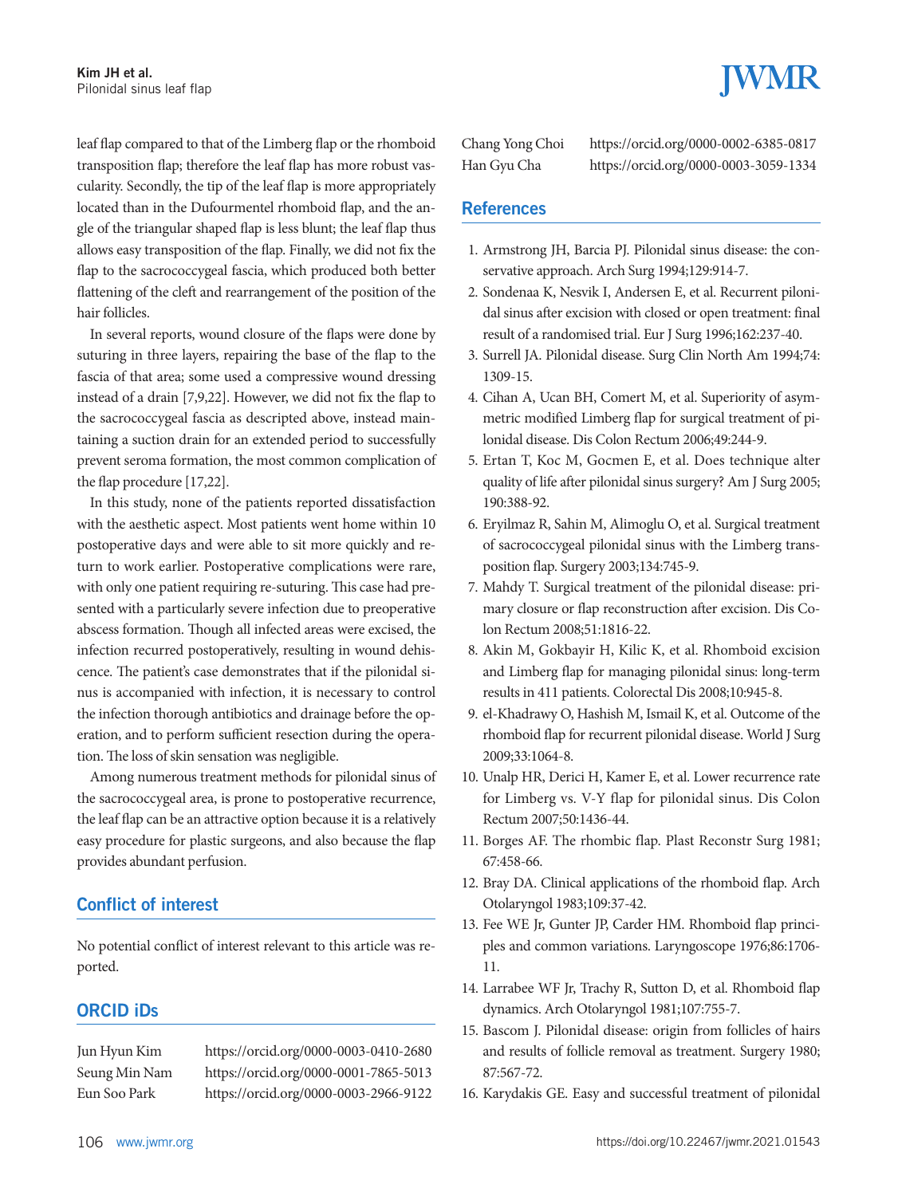leaf flap compared to that of the Limberg flap or the rhomboid transposition flap; therefore the leaf flap has more robust vascularity. Secondly, the tip of the leaf flap is more appropriately located than in the Dufourmentel rhomboid flap, and the angle of the triangular shaped flap is less blunt; the leaf flap thus allows easy transposition of the flap. Finally, we did not fix the flap to the sacrococcygeal fascia, which produced both better flattening of the cleft and rearrangement of the position of the hair follicles.

In several reports, wound closure of the flaps were done by suturing in three layers, repairing the base of the flap to the fascia of that area; some used a compressive wound dressing instead of a drain [7,9,22]. However, we did not fix the flap to the sacrococcygeal fascia as descripted above, instead maintaining a suction drain for an extended period to successfully prevent seroma formation, the most common complication of the flap procedure [17,22].

In this study, none of the patients reported dissatisfaction with the aesthetic aspect. Most patients went home within 10 postoperative days and were able to sit more quickly and return to work earlier. Postoperative complications were rare, with only one patient requiring re-suturing. This case had presented with a particularly severe infection due to preoperative abscess formation. Though all infected areas were excised, the infection recurred postoperatively, resulting in wound dehiscence. The patient's case demonstrates that if the pilonidal sinus is accompanied with infection, it is necessary to control the infection thorough antibiotics and drainage before the operation, and to perform sufficient resection during the operation. The loss of skin sensation was negligible.

Among numerous treatment methods for pilonidal sinus of the sacrococcygeal area, is prone to postoperative recurrence, the leaf flap can be an attractive option because it is a relatively easy procedure for plastic surgeons, and also because the flap provides abundant perfusion.

### Conflict of interest

No potential conflict of interest relevant to this article was reported.

### ORCID iDs

Jun Hyun Kim https://orcid.org/0000-0003-0410-2680 Seung Min Nam https://orcid.org/0000-0001-7865-5013 Eun Soo Park https://orcid.org/0000-0003-2966-9122

Chang Yong Choi https://orcid.org/0000-0002-6385-0817 Han Gyu Cha https://orcid.org/0000-0003-3059-1334

### **References**

- 1. Armstrong JH, Barcia PJ. Pilonidal sinus disease: the conservative approach. Arch Surg 1994;129:914-7.
- 2. Sondenaa K, Nesvik I, Andersen E, et al. Recurrent pilonidal sinus after excision with closed or open treatment: final result of a randomised trial. Eur J Surg 1996;162:237-40.
- 3. Surrell JA. Pilonidal disease. Surg Clin North Am 1994;74: 1309-15.
- 4. Cihan A, Ucan BH, Comert M, et al. Superiority of asymmetric modified Limberg flap for surgical treatment of pilonidal disease. Dis Colon Rectum 2006;49:244-9.
- 5. Ertan T, Koc M, Gocmen E, et al. Does technique alter quality of life after pilonidal sinus surgery? Am J Surg 2005; 190:388-92.
- 6. Eryilmaz R, Sahin M, Alimoglu O, et al. Surgical treatment of sacrococcygeal pilonidal sinus with the Limberg transposition flap. Surgery 2003;134:745-9.
- 7. Mahdy T. Surgical treatment of the pilonidal disease: primary closure or flap reconstruction after excision. Dis Colon Rectum 2008;51:1816-22.
- 8. Akin M, Gokbayir H, Kilic K, et al. Rhomboid excision and Limberg flap for managing pilonidal sinus: long-term results in 411 patients. Colorectal Dis 2008;10:945-8.
- 9. el-Khadrawy O, Hashish M, Ismail K, et al. Outcome of the rhomboid flap for recurrent pilonidal disease. World J Surg 2009;33:1064-8.
- 10. Unalp HR, Derici H, Kamer E, et al. Lower recurrence rate for Limberg vs. V-Y flap for pilonidal sinus. Dis Colon Rectum 2007;50:1436-44.
- 11. Borges AF. The rhombic flap. Plast Reconstr Surg 1981; 67:458-66.
- 12. Bray DA. Clinical applications of the rhomboid flap. Arch Otolaryngol 1983;109:37-42.
- 13. Fee WE Jr, Gunter JP, Carder HM. Rhomboid flap principles and common variations. Laryngoscope 1976;86:1706- 11.
- 14. Larrabee WF Jr, Trachy R, Sutton D, et al. Rhomboid flap dynamics. Arch Otolaryngol 1981;107:755-7.
- 15. Bascom J. Pilonidal disease: origin from follicles of hairs and results of follicle removal as treatment. Surgery 1980; 87:567-72.
- 16. Karydakis GE. Easy and successful treatment of pilonidal

**IWMR**